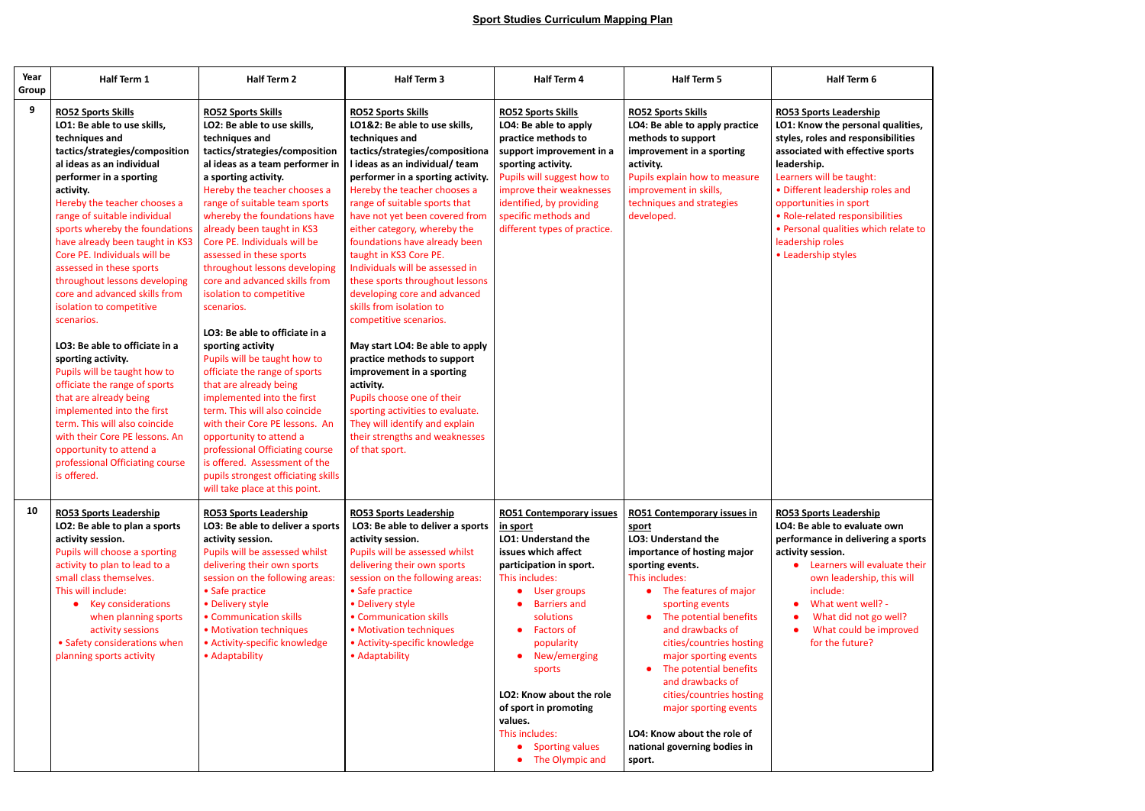| Year<br>Group | Half Term 1                                                                                                                                                                                                                                                                                                                                                                                                                                                                                                                                                                                                                                                                                                                                                                                                                     | <b>Half Term 2</b>                                                                                                                                                                                                                                                                                                                                                                                                                                                                                                                                                                                                                                                                                                                                                                                                                                                                                        | Half Term 3                                                                                                                                                                                                                                                                                                                                                                                                                                                                                                                                                                                                                                                                                                                                                                                                          | Half Term 4                                                                                                                                                                                                                                                                                                                                                                                  | <b>Half Term 5</b>                                                                                                                                                                                                                                                                                                                                                                                                                                                          | Half Term 6                                                                                                                                                                                                                                                                                                                                                                 |
|---------------|---------------------------------------------------------------------------------------------------------------------------------------------------------------------------------------------------------------------------------------------------------------------------------------------------------------------------------------------------------------------------------------------------------------------------------------------------------------------------------------------------------------------------------------------------------------------------------------------------------------------------------------------------------------------------------------------------------------------------------------------------------------------------------------------------------------------------------|-----------------------------------------------------------------------------------------------------------------------------------------------------------------------------------------------------------------------------------------------------------------------------------------------------------------------------------------------------------------------------------------------------------------------------------------------------------------------------------------------------------------------------------------------------------------------------------------------------------------------------------------------------------------------------------------------------------------------------------------------------------------------------------------------------------------------------------------------------------------------------------------------------------|----------------------------------------------------------------------------------------------------------------------------------------------------------------------------------------------------------------------------------------------------------------------------------------------------------------------------------------------------------------------------------------------------------------------------------------------------------------------------------------------------------------------------------------------------------------------------------------------------------------------------------------------------------------------------------------------------------------------------------------------------------------------------------------------------------------------|----------------------------------------------------------------------------------------------------------------------------------------------------------------------------------------------------------------------------------------------------------------------------------------------------------------------------------------------------------------------------------------------|-----------------------------------------------------------------------------------------------------------------------------------------------------------------------------------------------------------------------------------------------------------------------------------------------------------------------------------------------------------------------------------------------------------------------------------------------------------------------------|-----------------------------------------------------------------------------------------------------------------------------------------------------------------------------------------------------------------------------------------------------------------------------------------------------------------------------------------------------------------------------|
| 9             | <b>RO52 Sports Skills</b><br>LO1: Be able to use skills,<br>techniques and<br>tactics/strategies/composition<br>al ideas as an individual<br>performer in a sporting<br>activity.<br>Hereby the teacher chooses a<br>range of suitable individual<br>sports whereby the foundations<br>have already been taught in KS3<br>Core PE. Individuals will be<br>assessed in these sports<br>throughout lessons developing<br>core and advanced skills from<br>isolation to competitive<br>scenarios.<br>LO3: Be able to officiate in a<br>sporting activity.<br>Pupils will be taught how to<br>officiate the range of sports<br>that are already being<br>implemented into the first<br>term. This will also coincide<br>with their Core PE lessons. An<br>opportunity to attend a<br>professional Officiating course<br>is offered. | <b>RO52 Sports Skills</b><br>LO2: Be able to use skills,<br>techniques and<br>tactics/strategies/composition<br>al ideas as a team performer in<br>a sporting activity.<br>Hereby the teacher chooses a<br>range of suitable team sports<br>whereby the foundations have<br>already been taught in KS3<br>Core PE. Individuals will be<br>assessed in these sports<br>throughout lessons developing<br>core and advanced skills from<br>isolation to competitive<br>scenarios.<br>LO3: Be able to officiate in a<br>sporting activity<br>Pupils will be taught how to<br>officiate the range of sports<br>that are already being<br>implemented into the first<br>term. This will also coincide<br>with their Core PE lessons. An<br>opportunity to attend a<br>professional Officiating course<br>is offered. Assessment of the<br>pupils strongest officiating skills<br>will take place at this point. | <b>RO52 Sports Skills</b><br>LO1&2: Be able to use skills,<br>techniques and<br>tactics/strategies/compositiona<br>I ideas as an individual/ team<br>performer in a sporting activity.<br>Hereby the teacher chooses a<br>range of suitable sports that<br>have not yet been covered from<br>either category, whereby the<br>foundations have already been<br>taught in KS3 Core PE.<br>Individuals will be assessed in<br>these sports throughout lessons<br>developing core and advanced<br>skills from isolation to<br>competitive scenarios.<br>May start LO4: Be able to apply<br>practice methods to support<br>improvement in a sporting<br>activity.<br>Pupils choose one of their<br>sporting activities to evaluate.<br>They will identify and explain<br>their strengths and weaknesses<br>of that sport. | <b>RO52 Sports Skills</b><br>LO4: Be able to apply<br>practice methods to<br>support improvement in a<br>sporting activity.<br>Pupils will suggest how to<br>improve their weaknesses<br>identified, by providing<br>specific methods and<br>different types of practice.                                                                                                                    | <b>RO52 Sports Skills</b><br>LO4: Be able to apply practice<br>methods to support<br>improvement in a sporting<br>activity.<br>Pupils explain how to measure<br>improvement in skills,<br>techniques and strategies<br>developed.                                                                                                                                                                                                                                           | <b>RO53 Sports Leadership</b><br>LO1: Know the personal qualities,<br>styles, roles and responsibilities<br>associated with effective sports<br>leadership.<br>Learners will be taught:<br>• Different leadership roles and<br>opportunities in sport<br>• Role-related responsibilities<br>• Personal qualities which relate to<br>leadership roles<br>• Leadership styles |
| 10            | <b>RO53 Sports Leadership</b><br>LO2: Be able to plan a sports<br>activity session.<br>Pupils will choose a sporting<br>activity to plan to lead to a<br>small class themselves.<br>This will include:<br>• Key considerations<br>when planning sports<br>activity sessions<br>• Safety considerations when<br>planning sports activity                                                                                                                                                                                                                                                                                                                                                                                                                                                                                         | <b>RO53 Sports Leadership</b><br>LO3: Be able to deliver a sports<br>activity session.<br>Pupils will be assessed whilst<br>delivering their own sports<br>session on the following areas:<br>• Safe practice<br>• Delivery style<br>• Communication skills<br>• Motivation techniques<br>• Activity-specific knowledge<br>• Adaptability                                                                                                                                                                                                                                                                                                                                                                                                                                                                                                                                                                 | <b>RO53 Sports Leadership</b><br>LO3: Be able to deliver a sports<br>activity session.<br>Pupils will be assessed whilst<br>delivering their own sports<br>session on the following areas:<br>• Safe practice<br>• Delivery style<br>• Communication skills<br>• Motivation techniques<br>• Activity-specific knowledge<br>• Adaptability                                                                                                                                                                                                                                                                                                                                                                                                                                                                            | <b>RO51 Contemporary issues</b><br>in sport<br><b>LO1: Understand the</b><br>issues which affect<br>participation in sport.<br>This includes:<br>User groups<br><b>Barriers and</b><br>solutions<br><b>Factors of</b><br>popularity<br>New/emerging<br>sports<br>LO2: Know about the role<br>of sport in promoting<br>values.<br>This includes:<br><b>Sporting values</b><br>The Olympic and | <b>RO51 Contemporary issues in</b><br>sport<br><b>LO3: Understand the</b><br>importance of hosting major<br>sporting events.<br>This includes:<br>• The features of major<br>sporting events<br>The potential benefits<br>and drawbacks of<br>cities/countries hosting<br>major sporting events<br>The potential benefits<br>and drawbacks of<br>cities/countries hosting<br>major sporting events<br>LO4: Know about the role of<br>national governing bodies in<br>sport. | <b>RO53 Sports Leadership</b><br>LO4: Be able to evaluate own<br>performance in delivering a sports<br>activity session.<br>Learners will evaluate their<br>own leadership, this will<br>include:<br>What went well? -<br>What did not go well?<br>What could be improved<br>for the future?                                                                                |